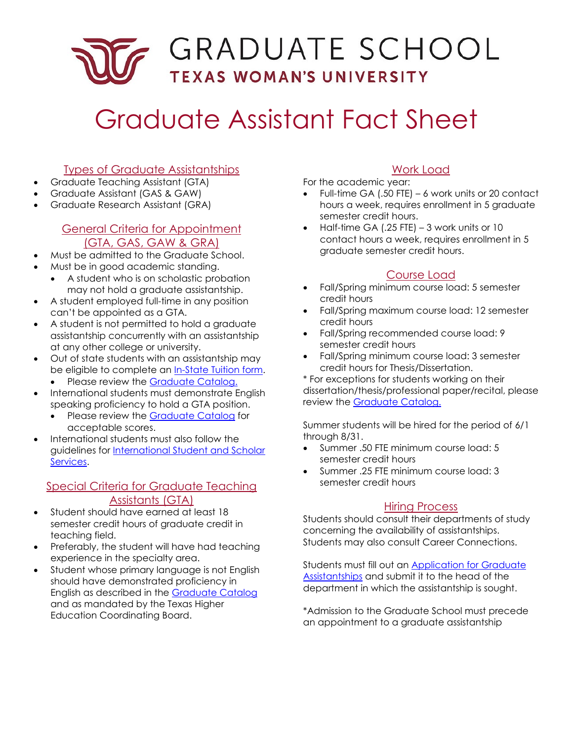# - GRADUATE SCHOOL **TEXAS WOMAN'S UNIVERSITY**

# Graduate Assistant Fact Sheet

## Types of Graduate Assistantships

- Graduate Teaching Assistant (GTA)
- Graduate Assistant (GAS & GAW)
- Graduate Research Assistant (GRA)

#### General Criteria for Appointment (GTA, GAS, GAW & GRA) (GTA, GAS, GAW & GRA)

- Must be admitted to the Graduate School.
- Must be in good academic standing.
	- A student who is on scholastic probation may not hold a graduate assistantship.
- A student employed full-time in any position can't be appointed as a GTA.
- A student is not permitted to hold a graduate assistantship concurrently with an assistantship at any other college or university.
- Out of state students with an assistantship may be eligible to complete an [In-State Tuition form.](https://www.twu.edu/gradschool/graduate-assistants/applying-for-graduate-assistantships/)
	- Please review the [Graduate Catalog.](https://catalog.twu.edu/graduate/financial-aid/graduate-assistantships/criteria-for-appointment/)
- International students must demonstrate English speaking proficiency to hold a GTA position.
	- Please review the [Graduate Catalog](https://catalog.twu.edu/graduate/financial-aid/graduate-assistantships/criteria-for-appointment/) for acceptable scores.
- International students must also follow the guidelines for [International Student and Scholar](https://international.twu.edu/) [Services.](https://international.twu.edu/)

#### Special Criteria for Graduate Teaching Assistants (GTA)

- Student should have earned at least 18 semester credit hours of graduate credit in teaching field.
- Preferably, the student will have had teaching experience in the specialty area.
- Student whose primary language is not English should have demonstrated proficiency in English as described in the [Graduate Catalog](https://catalog.twu.edu/graduate/financial-aid/graduate-assistantships/english-speaking-proficiency-gta/) and as mandated by the Texas Higher Education Coordinating Board.

# Work Load

For the academic year:

- Full-time GA (.50 FTE) 6 work units or 20 contact hours a week, requires enrollment in 5 graduate semester credit hours.
- • Half-time GA (.25 FTE) 3 work units or 10 contact hours a week, requires enrollment in 5 graduate semester credit hours.

### Course Load

- credit hours • Fall/Spring minimum course load: 5 semester
- Fall/Spring maximum course load: 12 semester credit hours
- • Fall/Spring recommended course load: 9 semester credit hours
- Fall/Spring minimum course load: 3 semester credit hours for Thesis/Dissertation.

\* For exceptions for students working on their dissertation/thesis/professional paper/recital, please review the [Graduate Catalog.](https://catalog.twu.edu/graduate/financial-aid/graduate-assistantships/criteria-for-appointment/)

 Summer students will be hired for the period of 6/1 through 8/31.

- • Summer .50 FTE minimum course load: 5 semester credit hours
- • Summer .25 FTE minimum course load: 3 semester credit hours

#### Hiring Process

Students should consult their departments of study concerning the availability of assistantships. Students may also consult Career Connections.

Students must fill out an <u>Application for Graduate</u> [Assistantships](https://twu.edu/gradschool/graduate-assistants/applying-for-graduate-assistantships/) and submit it to the head of the department in which the assistantship is sought.

\*Admission to the Graduate School must precede an appointment to a graduate assistantship